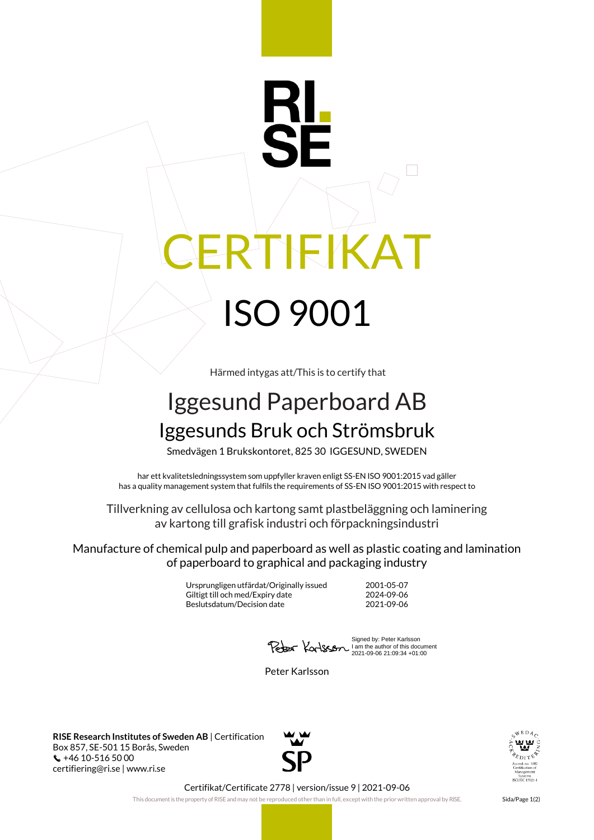## FIKA<sup>-</sup> ISO 9001

Härmed intygas att/This is to certify that

## Iggesund Paperboard AB Iggesunds Bruk och Strömsbruk

Smedvägen 1 Brukskontoret, 825 30 IGGESUND, SWEDEN

har ett kvalitetsledningssystem som uppfyller kraven enligt SS-EN ISO 9001:2015 vad gäller has a quality management system that fulfils the requirements of SS-EN ISO 9001:2015 with respect to

Tillverkning av cellulosa och kartong samt plastbeläggning och laminering av kartong till grafisk industri och förpackningsindustri

Manufacture of chemical pulp and paperboard as well as plastic coating and lamination of paperboard to graphical and packaging industry

> Ursprungligen utfärdat/Originally issued 2001-05-07 Giltigt till och med/Expiry date 2024-09-06<br>Beslutsdatum/Decision date 2021-09-06 Beslutsdatum/Decision date

Signed by: Peter Karlsson I am the author of this document 2021-09-06 21:09:34 +01:00

Peter Karlsson

**RISE Research Institutes of Sweden AB** | Certification Box 857, SE-501 15 Borås, Sweden +46 10-516 50 00 certifiering@ri.se | www.ri.se





Certifikat/Certificate 2778 | version/issue 9 | 2021-09-06

This document is the property of RISE and may not be reproduced other than in full, except with the prior written approval by RISE. Sida/Page 1(2)